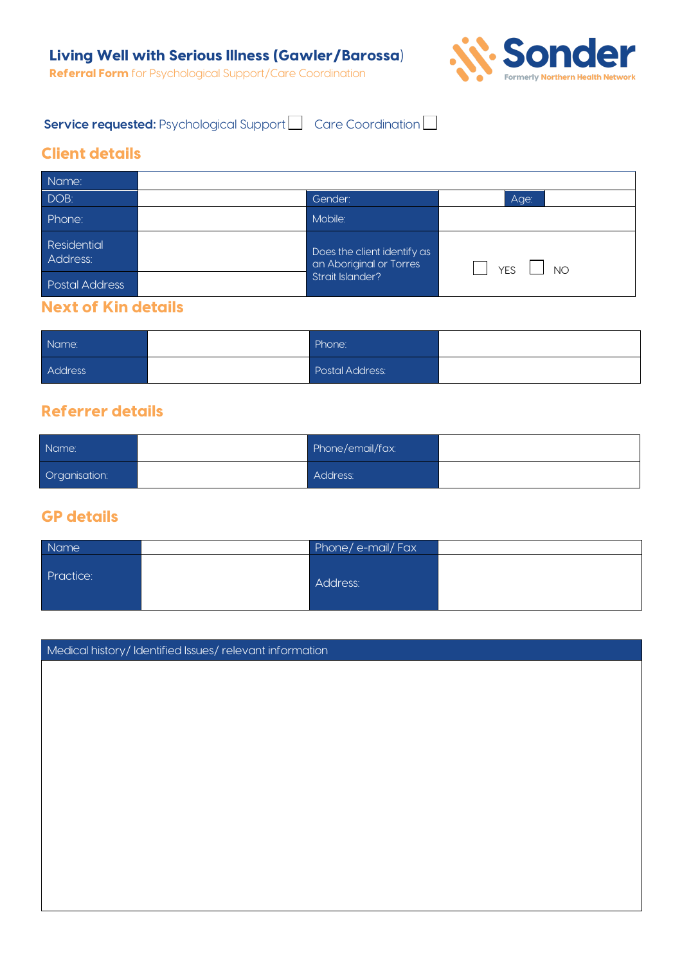

**Service requested:** Psychological Support Care Coordination

## Client details

| Name:                   |  |                                                                            |                  |
|-------------------------|--|----------------------------------------------------------------------------|------------------|
| DOB:                    |  | Gender:                                                                    | Age:             |
| Phone:                  |  | Mobile:                                                                    |                  |
| Residential<br>Address: |  | Does the client identify as<br>an Aboriginal or Torres<br>Strait Islander? | <b>YES</b><br>NO |
| <b>Postal Address</b>   |  |                                                                            |                  |

#### Next of Kin details

| Name:   | Phone:          |  |
|---------|-----------------|--|
| Address | Postal Address: |  |

## Referrer details

| Name:         | Phone/email/fax: |  |
|---------------|------------------|--|
| Organisation: | Address:         |  |

#### GP details

| Name      | Phone/e-mail/Fax |  |
|-----------|------------------|--|
| Practice: | Address:         |  |

Medical history/ Identified Issues/ relevant information